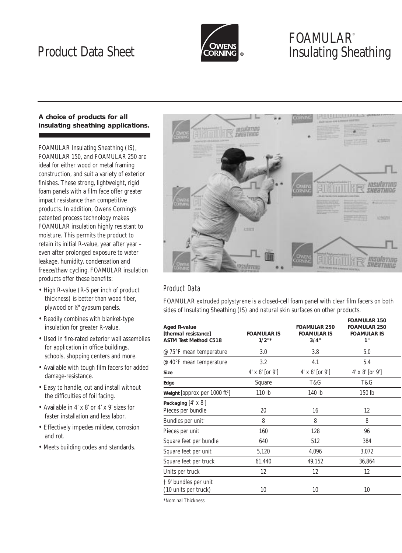

# FOAMULAR® Product Data Sheet **Insulating Sheathing**

## **A choice of products for all insulating sheathing applications.**

FOAMULAR Insulating Sheathing (IS), FOAMULAR 150, and FOAMULAR 250 are ideal for either wood or metal framing construction, and suit a variety of exterior finishes. These strong, lightweight, rigid foam panels with a film face offer greater impact resistance than competitive products. In addition, Owens Corning's patented process technology makes FOAMULAR insulation highly resistant to moisture. This permits the product to retain its initial R-value, year after year – even after prolonged exposure to water leakage, humidity, condensation and freeze/thaw cycling. FOAMULAR insulation products offer these benefits:

- High R-value (R-5 per inch of product thickness) is better than wood fiber, plywood or 1 ⁄2" gypsum panels.
- Readily combines with blanket-type insulation for greater R-value.
- Used in fire-rated exterior wall assemblies for application in office buildings, schools, shopping centers and more.
- Available with tough film facers for added damage-resistance.
- Easy to handle, cut and install without the difficulties of foil facing.
- Available in 4' x 8' or 4' x 9' sizes for faster installation and less labor.
- Effectively impedes mildew, corrosion and rot.
- Meets building codes and standards.



# Product Data

FOAMULAR extruded polystyrene is a closed-cell foam panel with clear film facers on both sides of Insulating Sheathing (IS) and natural skin surfaces on other products.

| <b>Aged R-value</b><br>[thermal resistance]<br><b>ASTM Test Method C518</b> | <b>FOAMULAR IS</b><br>1/2" | <b>FOAMULAR 250</b><br><b>FOAMULAR IS</b><br>3/4" | <b>FOAMULAR 150</b><br><b>FOAMULAR 250</b><br><b>FOAMULAR IS</b><br>1" |  |
|-----------------------------------------------------------------------------|----------------------------|---------------------------------------------------|------------------------------------------------------------------------|--|
| @ 75°F mean temperature                                                     | 3.0                        | 3.8                                               | 5.0                                                                    |  |
| @ 40°F mean temperature                                                     | 3.2                        | 4.1                                               | 5.4                                                                    |  |
| <b>Size</b>                                                                 | $4' \times 8'$ [or 9']     | $4' \times 8'$ [or 9]                             | $4' \times 8'$ [or 9]                                                  |  |
| Edge                                                                        | Square                     | T&G                                               | T&G                                                                    |  |
| Weight [approx per 1000 ft <sup>2</sup> ]                                   | 110 lb                     | 140 lb                                            | 150 lb                                                                 |  |
| Packaging $[4' \times 8']$<br>Pieces per bundle                             | 20                         | 16                                                | 12                                                                     |  |
| Bundles per unit <sup>†</sup>                                               | 8                          | 8                                                 | 8                                                                      |  |
| Pieces per unit                                                             | 160                        | 128                                               | 96                                                                     |  |
| Square feet per bundle                                                      | 640                        | 512                                               | 384                                                                    |  |
| Square feet per unit                                                        | 5,120                      | 4,096                                             | 3,072                                                                  |  |
| Square feet per truck                                                       | 61,440                     | 49,152                                            | 36,864                                                                 |  |
| Units per truck                                                             | 12                         | 12                                                | 12                                                                     |  |
| † 9′ bundles per unit<br>(10 units per truck)                               | 10                         | 10                                                | 10                                                                     |  |
|                                                                             |                            |                                                   |                                                                        |  |

\*Nominal Thickness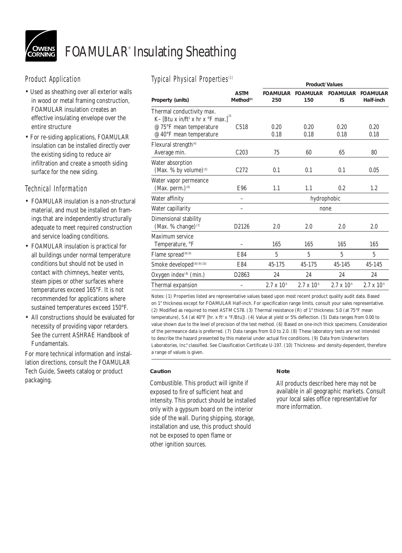

# FOAMULAR® Insulating Sheathing

# Product Application

- Used as sheathing over all exterior walls in wood or metal framing construction, FOAMULAR insulation creates an effective insulating envelope over the entire structure
- For re-siding applications, FOAMULAR insulation can be installed directly over the existing siding to reduce air infiltration and create a smooth siding surface for the new siding.

# Technical Information

- FOAMULAR insulation is a non-structural material, and must be installed on framings that are independently structurally adequate to meet required construction and service loading conditions.
- FOAMULAR insulation is practical for all buildings under normal temperature conditions but should not be used in contact with chimneys, heater vents, steam pipes or other surfaces where temperatures exceed 165°F. It is not recommended for applications where sustained temperatures exceed 150°F.
- All constructions should be evaluated for necessity of providing vapor retarders. See the current ASHRAE Handbook of Fundamentals.

For more technical information and installation directions, consult the FOAMULAR Tech Guide, Sweets catalog or product packaging.

# Typical Physical Properties(1)

| 17 Prodit 1117 Stoat TTO Portlos                                                                    | <b>Product/Values</b>                |                        |                        |                       |                              |  |
|-----------------------------------------------------------------------------------------------------|--------------------------------------|------------------------|------------------------|-----------------------|------------------------------|--|
| Property (units)                                                                                    | <b>ASTM</b><br>Method <sup>(2)</sup> | <b>FOAMULAR</b><br>250 | <b>FOAMULAR</b><br>150 | <b>FOAMULAR</b><br>IS | <b>FOAMULAR</b><br>Half-inch |  |
| Thermal conductivity max.<br>K- [Btu x in/ft <sup>2</sup> x hr x $\mathrm{PF}$ max.] <sup>(3)</sup> |                                      |                        |                        |                       |                              |  |
| @ 75°F mean temperature                                                                             | C <sub>518</sub>                     | 0.20                   | 0.20                   | 0.20                  | 0.20                         |  |
| @ 40°F mean temperature                                                                             |                                      | 0.18                   | 0.18                   | 0.18                  | 0.18                         |  |
| Flexural strength <sup>(4)</sup><br>Average min.                                                    | C203                                 | 75                     | 60                     | 65                    | 80                           |  |
| Water absorption<br>(Max. % by volume) <sup>(5)</sup>                                               | C <sub>272</sub>                     | 0.1                    | 0.1                    | 0.1                   | 0.05                         |  |
| Water vapor permeance<br>(Max. perm.) <sup>(6)</sup>                                                | E96                                  | 1.1                    | 1.1                    | 0.2                   | 1.2                          |  |
| Water affinity                                                                                      |                                      | hydrophobic            |                        |                       |                              |  |
| Water capillarity                                                                                   |                                      | none                   |                        |                       |                              |  |
| Dimensional stability<br>(Max. % change) $(7)$                                                      | D2126                                | 2.0                    | 2.0                    | 2.0                   | 2.0                          |  |
| Maximum service<br>Temperature, °F                                                                  |                                      | 165                    | 165                    | 165                   | 165                          |  |
| Flame spread <sup>(8)(9)</sup>                                                                      | E84                                  | 5                      | 5                      | 5                     | 5                            |  |
| Smoke developed <sup>(8)(9)(10)</sup>                                                               | E84                                  | 45-175                 | 45-175                 | 45-145                | 45-145                       |  |
| Oxygen index <sup>(8)</sup> (min.)                                                                  | D2863                                | 24                     | 24                     | 24                    | 24                           |  |
| Thermal expansion                                                                                   |                                      | $2.7 \times 10^{-5}$   | $2.7 \times 10^{-5}$   | $2.7 \times 10^{-5}$  | $2.7 \times 10^{-5}$         |  |
|                                                                                                     |                                      |                        |                        |                       |                              |  |

Notes: (1) Properties listed are representative values based upon most recent product quality audit data. Based on 1" thickness except for FOAMULAR Half-inch. For specification range limits, consult your sales representative. (2) Modified as required to meet ASTM C578. (3) Thermal resistance (R) of 1" thickness: 5.0 (at 75°F mean temperature), 5.4 (at  $40^{\circ}$ F [hr. x ft<sup>2</sup> x  $\circ$ F/Btu]). (4) Value at yield or 5% deflection. (5) Data ranges from 0.00 to value shown due to the level of precision of the test method. (6) Based on one-inch thick specimens. Consideration of the permeance data is preferred. (7) Data ranges from 0.0 to 2.0. (8) These laboratory tests are not intended to describe the hazard presented by this material under actual fire conditions. (9) Data from Underwriters Laboratories, Inc.® classified. See Classification Certificate U-197. (10) Thickness- and density-dependent, therefore a range of values is given.

### **Caution**

Combustible. This product will ignite if exposed to fire of sufficient heat and intensity. This product should be installed only with a gypsum board on the interior side of the wall. During shipping, storage, installation and use, this product should not be exposed to open flame or other ignition sources.

### **Note**

All products described here may not be available in all geographic markets. Consult your local sales office representative for more information.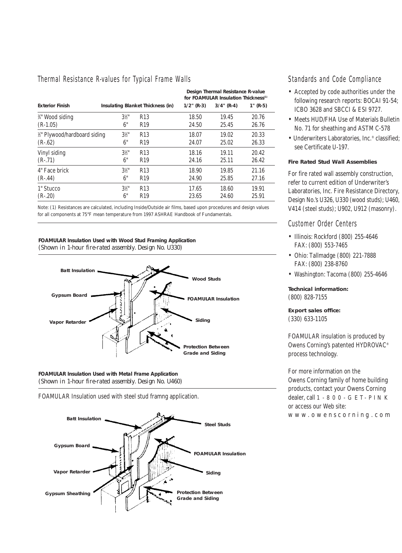#### Thermal Resistance R-values for Typical Frame Walls

|                               |                                   |                 | Design Thermal Resistance R-value<br>for FOAMULAR Insulation Thickness <sup>(1)</sup> |               |             |  |
|-------------------------------|-----------------------------------|-----------------|---------------------------------------------------------------------------------------|---------------|-------------|--|
| <b>Exterior Finish</b>        | Insulating Blanket Thickness (in) |                 | $1/2$ " (R-3)                                                                         | $3/4$ " (R-4) | $1''$ (R-5) |  |
| 3/4" Wood siding              | $3\frac{1}{2}$                    | R <sub>13</sub> | 18.50                                                                                 | 19.45         | 20.76       |  |
| $(R-1.05)$                    | 6"                                | R <sub>19</sub> | 24.50                                                                                 | 25.45         | 26.76       |  |
| 1/2" Plywood/hardboard siding | $3\frac{1}{2}$ "                  | R <sub>13</sub> | 18.07                                                                                 | 19.02         | 20.33       |  |
| $(R-.62)$                     | 6"                                | R <sub>19</sub> | 24.07                                                                                 | 25.02         | 26.33       |  |
| Vinyl siding                  | $3\frac{1}{2}$ "                  | R <sub>13</sub> | 18.16                                                                                 | 19.11         | 20.42       |  |
| $(R-.71)$                     | 6"                                | R <sub>19</sub> | 24.16                                                                                 | 25.11         | 26.42       |  |
| 4" Face brick                 | $3\frac{1}{2}$ "                  | R <sub>13</sub> | 18.90                                                                                 | 19.85         | 21.16       |  |
| $(R-.44)$                     | 6"                                | R <sub>19</sub> | 24.90                                                                                 | 25.85         | 27.16       |  |
| 1" Stucco                     | $3\frac{1}{2}$                    | R <sub>13</sub> | 17.65                                                                                 | 18.60         | 19.91       |  |
| $(R-.20)$                     | 6"                                | R <sub>19</sub> | 23.65                                                                                 | 24.60         | 25.91       |  |

Note: (1) Resistances are calculated, including Inside/Outside air films, based upon procedures and design values for all components at 75°F mean temperature from 1997 ASHRAE Handbook of Fundamentals.

#### **FOAMULAR Insulation Used with Wood Stud Framing Application**

*(Shown in 1-hour fire-rated assembly. Design No. U330)*



**FOAMULAR Insulation Used with Metal Frame Application** *(Shown in 1-hour fire-rated assembly. Design No. U460)*

FOAMULAR Insulation used with steel stud framng application.



Standards and Code Compliance

- Accepted by code authorities under the following research reports: BOCAI 91-54; ICBO 3628 and SBCCI & ESI 9727.
- Meets HUD/FHA Use of Materials Bulletin No. 71 for sheathing and ASTM C-578
- Underwriters Laboratories, Inc.® classified; see Certificate U-197.

#### **Fire Rated Stud Wall Assemblies**

For fire rated wall assembly construction, refer to current edition of Underwriter's Laboratories, Inc. Fire Resistance Directory, Design No.'s U326, U330 (wood studs); U460, V414 (steel studs); U902, U912 (masonry).

#### Customer Order Centers

- Illinois: Rockford (800) 255-4646 FAX: (800) 553-7465
- Ohio: Tallmadge (800) 221-7888 FAX: (800) 238-8760
- Washington: Tacoma (800) 255-4646

**Technical information:**  (800) 828-7155

**Export sales office:** (330) 633-1105

FOAMULAR insulation is produced by Owens Corning's patented HYDROVAC® process technology.

For more information on the Owens Corning family of home building products, contact your Owens Corning dealer, call 1-800-GET -PIN K or access our Web site:

www .owenscor ning.com